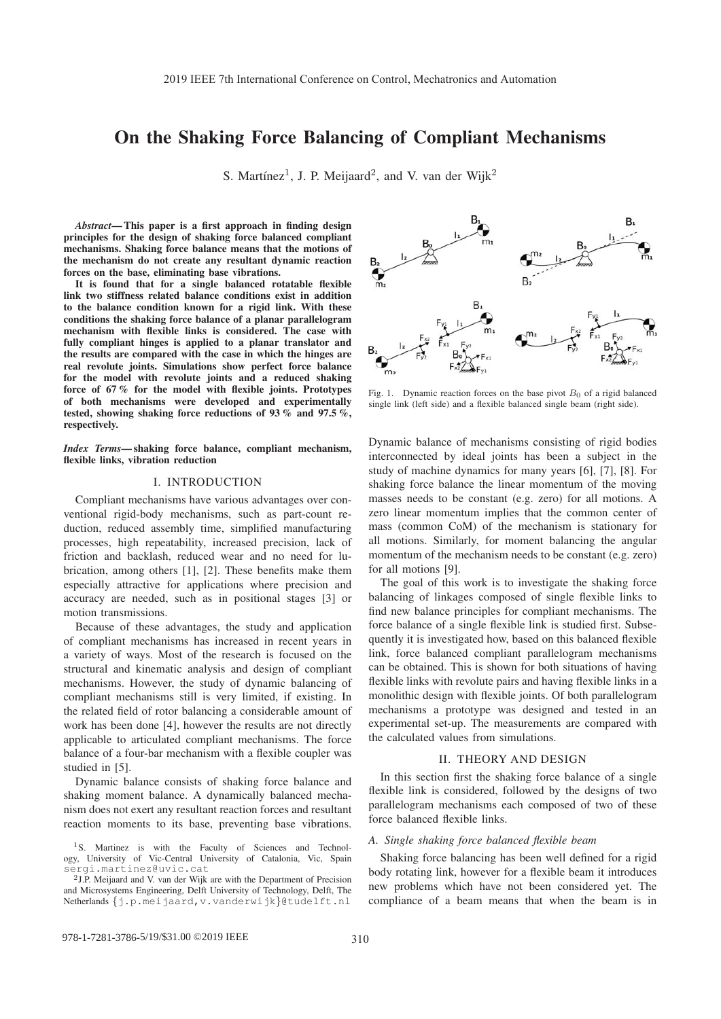# On the Shaking Force Balancing of Compliant Mechanisms

S. Martínez<sup>1</sup>, J. P. Meijaard<sup>2</sup>, and V. van der Wijk<sup>2</sup>

*Abstract*— This paper is a first approach in finding design principles for the design of shaking force balanced compliant mechanisms. Shaking force balance means that the motions of the mechanism do not create any resultant dynamic reaction forces on the base, eliminating base vibrations.

It is found that for a single balanced rotatable flexible link two stiffness related balance conditions exist in addition to the balance condition known for a rigid link. With these conditions the shaking force balance of a planar parallelogram mechanism with flexible links is considered. The case with fully compliant hinges is applied to a planar translator and the results are compared with the case in which the hinges are real revolute joints. Simulations show perfect force balance for the model with revolute joints and a reduced shaking force of 67 % for the model with flexible joints. Prototypes of both mechanisms were developed and experimentally tested, showing shaking force reductions of 93 % and 97.5 %, respectively.

*Index Terms*— shaking force balance, compliant mechanism, flexible links, vibration reduction

# I. INTRODUCTION

Compliant mechanisms have various advantages over conventional rigid-body mechanisms, such as part-count reduction, reduced assembly time, simplified manufacturing processes, high repeatability, increased precision, lack of friction and backlash, reduced wear and no need for lubrication, among others [1], [2]. These benefits make them especially attractive for applications where precision and accuracy are needed, such as in positional stages [3] or motion transmissions.

Because of these advantages, the study and application of compliant mechanisms has increased in recent years in a variety of ways. Most of the research is focused on the structural and kinematic analysis and design of compliant mechanisms. However, the study of dynamic balancing of compliant mechanisms still is very limited, if existing. In the related field of rotor balancing a considerable amount of work has been done [4], however the results are not directly applicable to articulated compliant mechanisms. The force balance of a four-bar mechanism with a flexible coupler was studied in [5].

Dynamic balance consists of shaking force balance and shaking moment balance. A dynamically balanced mechanism does not exert any resultant reaction forces and resultant reaction moments to its base, preventing base vibrations.

 $B<sub>2</sub>$ B, m,

Fig. 1. Dynamic reaction forces on the base pivot  $B_0$  of a rigid balanced single link (left side) and a flexible balanced single beam (right side).

Dynamic balance of mechanisms consisting of rigid bodies interconnected by ideal joints has been a subject in the study of machine dynamics for many years [6], [7], [8]. For shaking force balance the linear momentum of the moving masses needs to be constant (e.g. zero) for all motions. A zero linear momentum implies that the common center of mass (common CoM) of the mechanism is stationary for all motions. Similarly, for moment balancing the angular momentum of the mechanism needs to be constant (e.g. zero) for all motions [9].

The goal of this work is to investigate the shaking force balancing of linkages composed of single flexible links to find new balance principles for compliant mechanisms. The force balance of a single flexible link is studied first. Subsequently it is investigated how, based on this balanced flexible link, force balanced compliant parallelogram mechanisms can be obtained. This is shown for both situations of having flexible links with revolute pairs and having flexible links in a monolithic design with flexible joints. Of both parallelogram mechanisms a prototype was designed and tested in an experimental set-up. The measurements are compared with the calculated values from simulations.

#### II. THEORY AND DESIGN

In this section first the shaking force balance of a single flexible link is considered, followed by the designs of two parallelogram mechanisms each composed of two of these force balanced flexible links.

## *A. Single shaking force balanced flexible beam*

Shaking force balancing has been well defined for a rigid body rotating link, however for a flexible beam it introduces new problems which have not been considered yet. The compliance of a beam means that when the beam is in



<sup>&</sup>lt;sup>1</sup>S. Martinez is with the Faculty of Sciences and Technology, University of Vic-Central University of Catalonia, Vic, Spain sergi.martinez@uvic.cat

<sup>2</sup>J.P. Meijaard and V. van der Wijk are with the Department of Precision and Microsystems Engineering, Delft University of Technology, Delft, The Netherlands {j.p.meijaard,v.vanderwijk}@tudelft.nl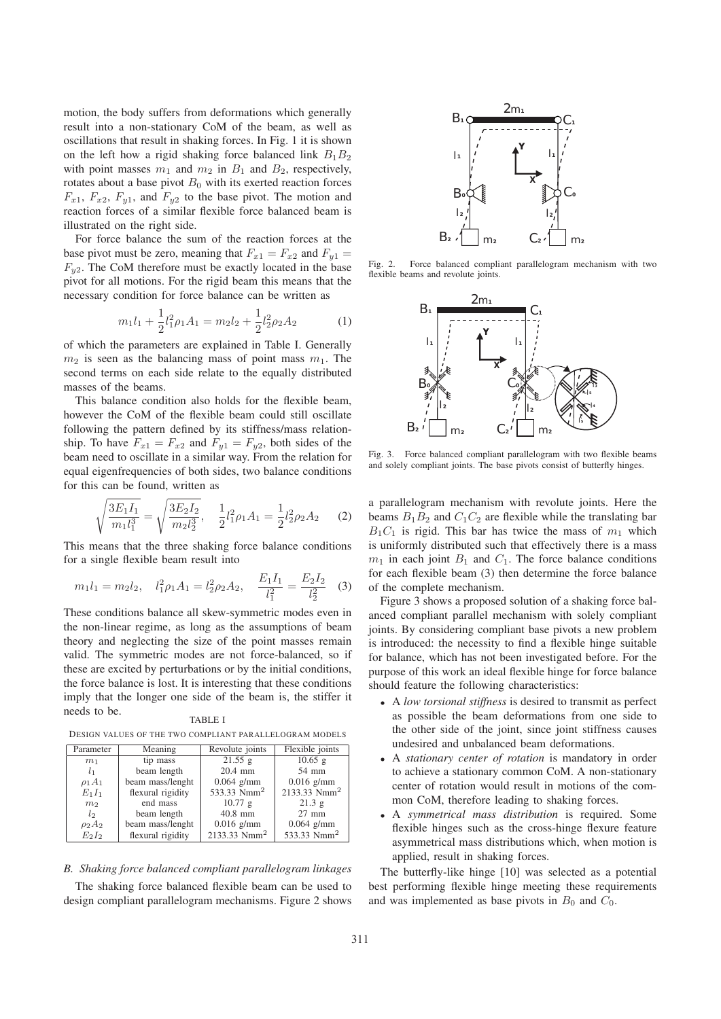motion, the body suffers from deformations which generally result into a non-stationary CoM of the beam, as well as oscillations that result in shaking forces. In Fig. 1 it is shown on the left how a rigid shaking force balanced link  $B_1B_2$ with point masses  $m_1$  and  $m_2$  in  $B_1$  and  $B_2$ , respectively, rotates about a base pivot  $B_0$  with its exerted reaction forces  $F_{x1}$ ,  $F_{x2}$ ,  $F_{y1}$ , and  $F_{y2}$  to the base pivot. The motion and reaction forces of a similar flexible force balanced beam is illustrated on the right side.

For force balance the sum of the reaction forces at the base pivot must be zero, meaning that  $F_{x1} = F_{x2}$  and  $F_{y1} =$  $F_{u2}$ . The CoM therefore must be exactly located in the base pivot for all motions. For the rigid beam this means that the necessary condition for force balance can be written as

$$
m_1 l_1 + \frac{1}{2} l_1^2 \rho_1 A_1 = m_2 l_2 + \frac{1}{2} l_2^2 \rho_2 A_2 \tag{1}
$$

of which the parameters are explained in Table I. Generally  $m_2$  is seen as the balancing mass of point mass  $m_1$ . The second terms on each side relate to the equally distributed masses of the beams.

This balance condition also holds for the flexible beam, however the CoM of the flexible beam could still oscillate following the pattern defined by its stiffness/mass relationship. To have  $F_{x1} = F_{x2}$  and  $F_{y1} = F_{y2}$ , both sides of the beam need to oscillate in a similar way. From the relation for equal eigenfrequencies of both sides, two balance conditions for this can be found, written as

$$
\sqrt{\frac{3E_1I_1}{m_1l_1^3}} = \sqrt{\frac{3E_2I_2}{m_2l_2^3}}, \quad \frac{1}{2}l_1^2\rho_1A_1 = \frac{1}{2}l_2^2\rho_2A_2 \quad (2)
$$

This means that the three shaking force balance conditions for a single flexible beam result into

$$
m_1 l_1 = m_2 l_2
$$
,  $l_1^2 \rho_1 A_1 = l_2^2 \rho_2 A_2$ ,  $\frac{E_1 I_1}{l_1^2} = \frac{E_2 I_2}{l_2^2}$  (3)

These conditions balance all skew-symmetric modes even in the non-linear regime, as long as the assumptions of beam theory and neglecting the size of the point masses remain valid. The symmetric modes are not force-balanced, so if these are excited by perturbations or by the initial conditions, the force balance is lost. It is interesting that these conditions imply that the longer one side of the beam is, the stiffer it needs to be.

| Parameter      | Meaning               | Revolute joints         | Flexible joints         |
|----------------|-----------------------|-------------------------|-------------------------|
| m <sub>1</sub> | $\overline{tip}$ mass | 21.55 g                 | $10.65$ g               |
| l <sub>1</sub> | beam length           | 20.4 mm                 | 54 mm                   |
| $\rho_1 A_1$   | beam mass/lenght      | $0.064$ g/mm            | $0.016$ g/mm            |
| $E_1I_1$       | flexural rigidity     | 533.33 Nmm <sup>2</sup> | 2133.33 $Nmm2$          |
| m <sub>2</sub> | end mass              | 10.77 g                 | 21.3 g                  |
| $l_{2}$        | beam length           | $40.8$ mm               | $27 \text{ mm}$         |
| $\rho_2A_2$    | beam mass/lenght      | $0.016$ g/mm            | $0.064$ g/mm            |
| $E_2I_2$       | flexural rigidity     | 2133.33 $Nmm2$          | 533.33 Nmm <sup>2</sup> |

TABLE I

DESIGN VALUES OF THE TWO COMPLIANT PARALLELOGRAM MODELS



The shaking force balanced flexible beam can be used to design compliant parallelogram mechanisms. Figure 2 shows



Fig. 2. Force balanced compliant parallelogram mechanism with two flexible beams and revolute joints.



Fig. 3. Force balanced compliant parallelogram with two flexible beams and solely compliant joints. The base pivots consist of butterfly hinges.

a parallelogram mechanism with revolute joints. Here the beams  $B_1B_2$  and  $C_1C_2$  are flexible while the translating bar  $B_1C_1$  is rigid. This bar has twice the mass of  $m_1$  which is uniformly distributed such that effectively there is a mass  $m_1$  in each joint  $B_1$  and  $C_1$ . The force balance conditions for each flexible beam (3) then determine the force balance of the complete mechanism.

Figure 3 shows a proposed solution of a shaking force balanced compliant parallel mechanism with solely compliant joints. By considering compliant base pivots a new problem is introduced: the necessity to find a flexible hinge suitable for balance, which has not been investigated before. For the purpose of this work an ideal flexible hinge for force balance should feature the following characteristics:

- A *low torsional stiffness* is desired to transmit as perfect as possible the beam deformations from one side to the other side of the joint, since joint stiffness causes undesired and unbalanced beam deformations.
- A *stationary center of rotation* is mandatory in order to achieve a stationary common CoM. A non-stationary center of rotation would result in motions of the common CoM, therefore leading to shaking forces.
- A *symmetrical mass distribution* is required. Some flexible hinges such as the cross-hinge flexure feature asymmetrical mass distributions which, when motion is applied, result in shaking forces.

The butterfly-like hinge [10] was selected as a potential best performing flexible hinge meeting these requirements and was implemented as base pivots in  $B_0$  and  $C_0$ .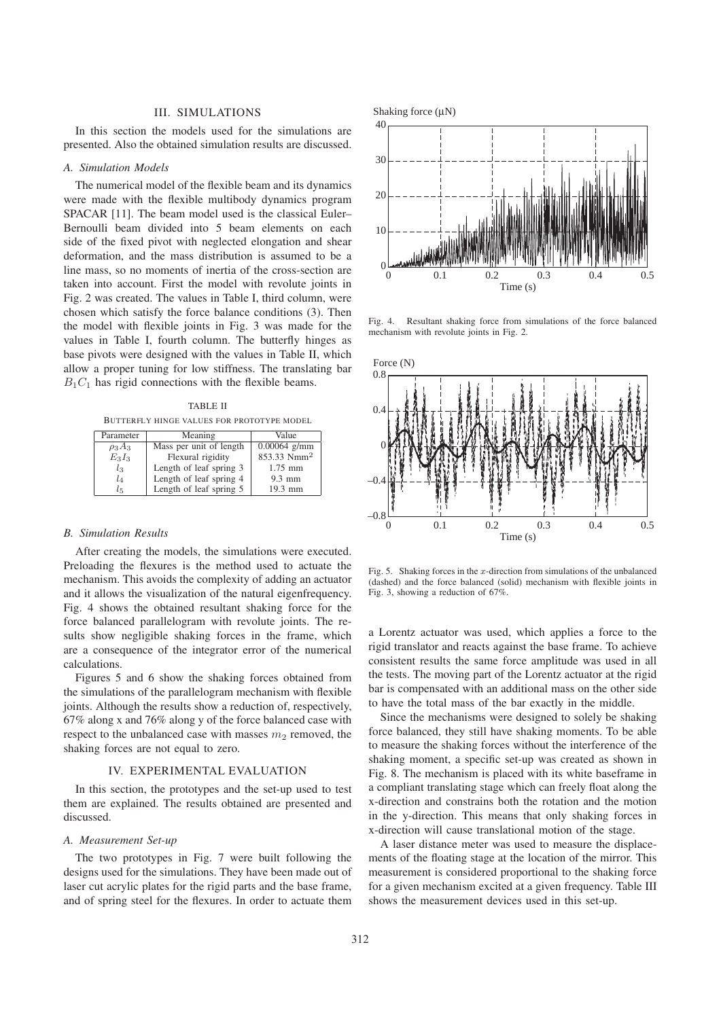## III. SIMULATIONS

In this section the models used for the simulations are presented. Also the obtained simulation results are discussed.

## *A. Simulation Models*

The numerical model of the flexible beam and its dynamics were made with the flexible multibody dynamics program SPACAR [11]. The beam model used is the classical Euler– Bernoulli beam divided into 5 beam elements on each side of the fixed pivot with neglected elongation and shear deformation, and the mass distribution is assumed to be a line mass, so no moments of inertia of the cross-section are taken into account. First the model with revolute joints in Fig. 2 was created. The values in Table I, third column, were chosen which satisfy the force balance conditions (3). Then the model with flexible joints in Fig. 3 was made for the values in Table I, fourth column. The butterfly hinges as base pivots were designed with the values in Table II, which allow a proper tuning for low stiffness. The translating bar  $B_1C_1$  has rigid connections with the flexible beams.

TABLE II BUTTERFLY HINGE VALUES FOR PROTOTYPE MODEL

| Parameter   | Meaning                 | Value                   |
|-------------|-------------------------|-------------------------|
| $\rho_3A_3$ | Mass per unit of length | $0.00064$ g/mm          |
| $E_3I_3$    | Flexural rigidity       | 853.33 Nmm <sup>2</sup> |
| $l_3$       | Length of leaf spring 3 | $1.75$ mm               |
| $l_4$       | Length of leaf spring 4 | $9.3$ mm                |
| $l_{5}$     | Length of leaf spring 5 | 19.3 mm                 |

#### *B. Simulation Results*

After creating the models, the simulations were executed. Preloading the flexures is the method used to actuate the mechanism. This avoids the complexity of adding an actuator and it allows the visualization of the natural eigenfrequency. Fig. 4 shows the obtained resultant shaking force for the force balanced parallelogram with revolute joints. The results show negligible shaking forces in the frame, which are a consequence of the integrator error of the numerical calculations.

Figures 5 and 6 show the shaking forces obtained from the simulations of the parallelogram mechanism with flexible joints. Although the results show a reduction of, respectively, 67% along x and 76% along y of the force balanced case with respect to the unbalanced case with masses  $m_2$  removed, the shaking forces are not equal to zero.

### IV. EXPERIMENTAL EVALUATION

In this section, the prototypes and the set-up used to test them are explained. The results obtained are presented and discussed.

## *A. Measurement Set-up*

The two prototypes in Fig. 7 were built following the designs used for the simulations. They have been made out of laser cut acrylic plates for the rigid parts and the base frame, and of spring steel for the flexures. In order to actuate them



Fig. 4. Resultant shaking force from simulations of the force balanced mechanism with revolute joints in Fig. 2.



Fig. 5. Shaking forces in the x-direction from simulations of the unbalanced (dashed) and the force balanced (solid) mechanism with flexible joints in Fig. 3, showing a reduction of 67%.

a Lorentz actuator was used, which applies a force to the rigid translator and reacts against the base frame. To achieve consistent results the same force amplitude was used in all the tests. The moving part of the Lorentz actuator at the rigid bar is compensated with an additional mass on the other side to have the total mass of the bar exactly in the middle.

Since the mechanisms were designed to solely be shaking force balanced, they still have shaking moments. To be able to measure the shaking forces without the interference of the shaking moment, a specific set-up was created as shown in Fig. 8. The mechanism is placed with its white baseframe in a compliant translating stage which can freely float along the x-direction and constrains both the rotation and the motion in the y-direction. This means that only shaking forces in x-direction will cause translational motion of the stage.

A laser distance meter was used to measure the displacements of the floating stage at the location of the mirror. This measurement is considered proportional to the shaking force for a given mechanism excited at a given frequency. Table III shows the measurement devices used in this set-up.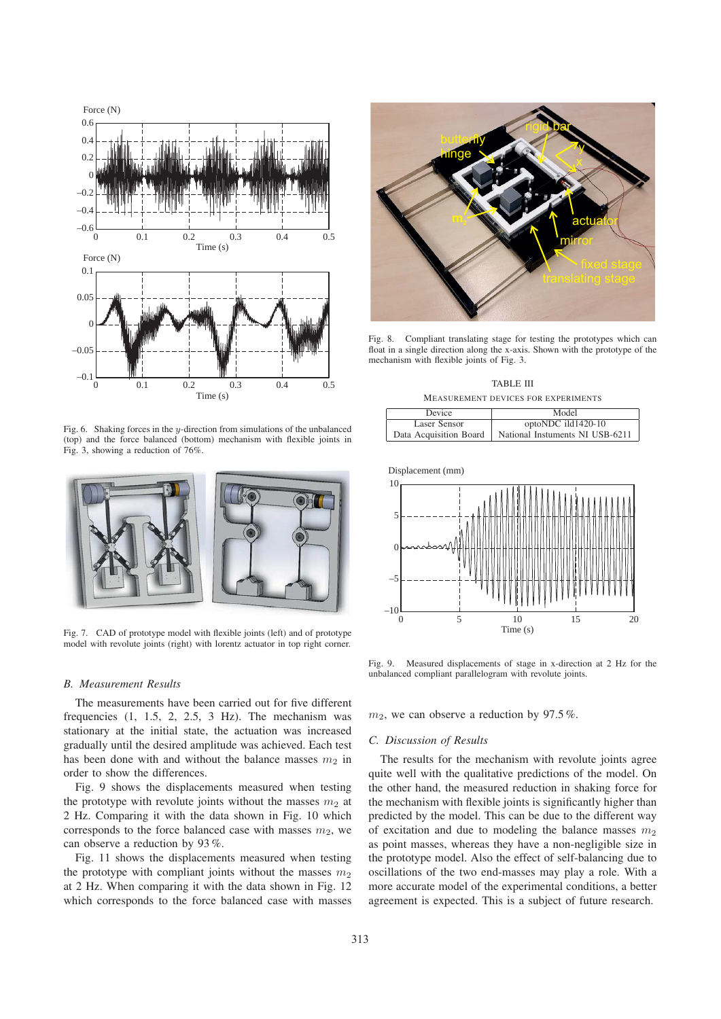

Fig. 6. Shaking forces in the y-direction from simulations of the unbalanced (top) and the force balanced (bottom) mechanism with flexible joints in Fig. 3, showing a reduction of 76%.



Fig. 7. CAD of prototype model with flexible joints (left) and of prototype model with revolute joints (right) with lorentz actuator in top right corner.

## *B. Measurement Results*

The measurements have been carried out for five different frequencies  $(1, 1.5, 2, 2.5, 3 Hz)$ . The mechanism was stationary at the initial state, the actuation was increased gradually until the desired amplitude was achieved. Each test has been done with and without the balance masses  $m_2$  in order to show the differences.

Fig. 9 shows the displacements measured when testing the prototype with revolute joints without the masses  $m_2$  at 2 Hz. Comparing it with the data shown in Fig. 10 which corresponds to the force balanced case with masses  $m_2$ , we can observe a reduction by 93 %.

Fig. 11 shows the displacements measured when testing the prototype with compliant joints without the masses  $m<sub>2</sub>$ at 2 Hz. When comparing it with the data shown in Fig. 12 which corresponds to the force balanced case with masses



Fig. 8. Compliant translating stage for testing the prototypes which can float in a single direction along the x-axis. Shown with the prototype of the mechanism with flexible joints of Fig. 3.

TABLE III MEASUREMENT DEVICES FOR EXPERIMENTS

| Device                 | Model                           |
|------------------------|---------------------------------|
| Laser Sensor           | optoNDC ild1420-10              |
| Data Acquisition Board | National Instuments NI USB-6211 |

Displacement (mm)



Fig. 9. Measured displacements of stage in x-direction at 2 Hz for the unbalanced compliant parallelogram with revolute joints.

 $m_2$ , we can observe a reduction by 97.5%.

### *C. Discussion of Results*

The results for the mechanism with revolute joints agree quite well with the qualitative predictions of the model. On the other hand, the measured reduction in shaking force for the mechanism with flexible joints is significantly higher than predicted by the model. This can be due to the different way of excitation and due to modeling the balance masses  $m_2$ as point masses, whereas they have a non-negligible size in the prototype model. Also the effect of self-balancing due to oscillations of the two end-masses may play a role. With a more accurate model of the experimental conditions, a better agreement is expected. This is a subject of future research.